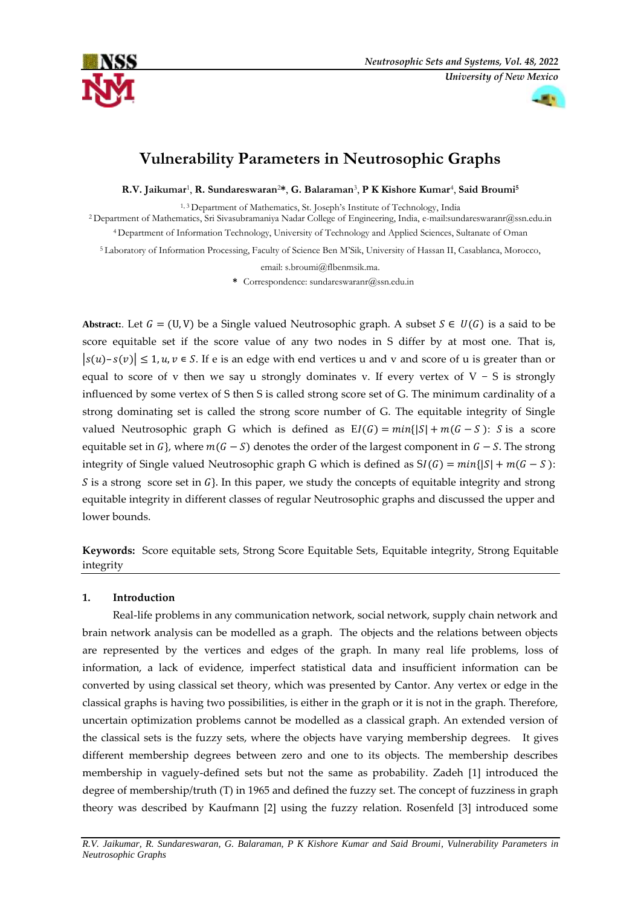



# **Vulnerability Parameters in Neutrosophic Graphs**

**R.V. Jaikumar**<sup>1</sup> , **R. Sundareswaran**2**\***, **G. Balaraman**<sup>3</sup> , **P K Kishore Kumar**<sup>4</sup> , **Said Broumi<sup>5</sup>**

1, 3 Department of Mathematics, St. Joseph's Institute of Technology, India

<sup>2</sup> Department of Mathematics, Sri Sivasubramaniya Nadar College of Engineering, India, e-mail:sundareswaranr@ssn.edu.in

<sup>4</sup> Department of Information Technology, University of Technology and Applied Sciences, Sultanate of Oman

<sup>5</sup> Laboratory of Information Processing, Faculty of Science Ben M'Sik, University of Hassan II, Casablanca, Morocco,

email: [s.broumi@flbenmsik.ma.](mailto:s.broumi@flbenmsik.ma)

**\*** Correspondence: sundareswaranr@ssn.edu.in

Abstract:. Let  $G = (U, V)$  be a Single valued Neutrosophic graph. A subset  $S \in U(G)$  is a said to be score equitable set if the score value of any two nodes in S differ by at most one. That is,  $|s(u)-s(v)| \leq 1, u, v \in S$ . If e is an edge with end vertices u and v and score of u is greater than or equal to score of v then we say u strongly dominates v. If every vertex of V – S is strongly influenced by some vertex of S then S is called strong score set of G. The minimum cardinality of a strong dominating set is called the strong score number of G. The equitable integrity of Single valued Neutrosophic graph G which is defined as  $EI(G) = min\{|S| + m(G - S) : S \text{ is a score}\}$ equitable set in  $G$ , where  $m(G - S)$  denotes the order of the largest component in  $G - S$ . The strong integrity of Single valued Neutrosophic graph G which is defined as  $SI(G) = min\{|S| + m(G - S):$ S is a strong score set in  $G$ . In this paper, we study the concepts of equitable integrity and strong equitable integrity in different classes of regular Neutrosophic graphs and discussed the upper and lower bounds.

**Keywords:** Score equitable sets, Strong Score Equitable Sets, Equitable integrity, Strong Equitable integrity

## **1. Introduction**

Real-life problems in any communication network, social network, supply chain network and brain network analysis can be modelled as a graph. The objects and the relations between objects are represented by the vertices and edges of the graph. In many real life problems, loss of information, a lack of evidence, imperfect statistical data and insufficient information can be converted by using classical set theory, which was presented by Cantor. Any vertex or edge in the classical graphs is having two possibilities, is either in the graph or it is not in the graph. Therefore, uncertain optimization problems cannot be modelled as a classical graph. An extended version of the classical sets is the fuzzy sets, where the objects have varying membership degrees. It gives different membership degrees between zero and one to its objects. The membership describes membership in vaguely-defined sets but not the same as probability. Zadeh [1] introduced the degree of membership/truth (T) in 1965 and defined the fuzzy set. The concept of fuzziness in graph theory was described by Kaufmann [2] using the fuzzy relation. Rosenfeld [3] introduced some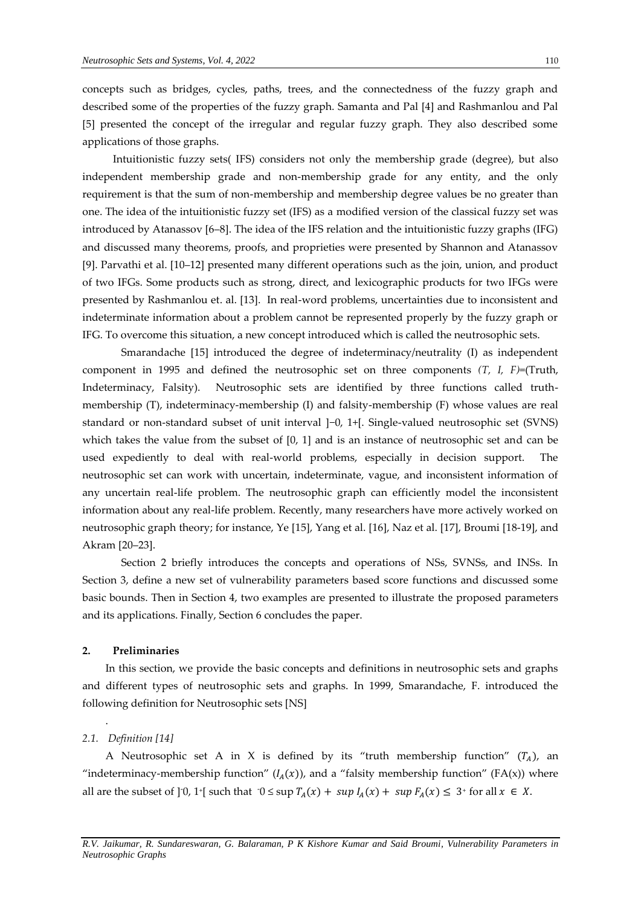concepts such as bridges, cycles, paths, trees, and the connectedness of the fuzzy graph and described some of the properties of the fuzzy graph. Samanta and Pal [4] and Rashmanlou and Pal [5] presented the concept of the irregular and regular fuzzy graph. They also described some applications of those graphs.

Intuitionistic fuzzy sets( IFS) considers not only the membership grade (degree), but also independent membership grade and non-membership grade for any entity, and the only requirement is that the sum of non-membership and membership degree values be no greater than one. The idea of the intuitionistic fuzzy set (IFS) as a modified version of the classical fuzzy set was introduced by Atanassov [6–8]. The idea of the IFS relation and the intuitionistic fuzzy graphs (IFG) and discussed many theorems, proofs, and proprieties were presented by Shannon and Atanassov [9]. Parvathi et al. [10–12] presented many different operations such as the join, union, and product of two IFGs. Some products such as strong, direct, and lexicographic products for two IFGs were presented by Rashmanlou et. al. [13]. In real-word problems, uncertainties due to inconsistent and indeterminate information about a problem cannot be represented properly by the fuzzy graph or IFG. To overcome this situation, a new concept introduced which is called the neutrosophic sets.

Smarandache [15] introduced the degree of indeterminacy/neutrality (I) as independent component in 1995 and defined the neutrosophic set on three components *(T, I, F)*=(Truth, Indeterminacy, Falsity). Neutrosophic sets are identified by three functions called truthmembership (T), indeterminacy-membership (I) and falsity-membership (F) whose values are real standard or non-standard subset of unit interval ]−0, 1+[. Single-valued neutrosophic set (SVNS) which takes the value from the subset of [0, 1] and is an instance of neutrosophic set and can be used expediently to deal with real-world problems, especially in decision support. The neutrosophic set can work with uncertain, indeterminate, vague, and inconsistent information of any uncertain real-life problem. The neutrosophic graph can efficiently model the inconsistent information about any real-life problem. Recently, many researchers have more actively worked on neutrosophic graph theory; for instance, Ye [15], Yang et al. [16], Naz et al. [17], Broumi [18-19], and Akram [20–23].

Section 2 briefly introduces the concepts and operations of NSs, SVNSs, and INSs. In Section 3, define a new set of vulnerability parameters based score functions and discussed some basic bounds. Then in Section 4, two examples are presented to illustrate the proposed parameters and its applications. Finally, Section 6 concludes the paper.

## **2. Preliminaries**

In this section, we provide the basic concepts and definitions in neutrosophic sets and graphs and different types of neutrosophic sets and graphs. In 1999, Smarandache, F. introduced the following definition for Neutrosophic sets [NS]

#### *2.1. Definition [14]*

.

A Neutrosophic set A in X is defined by its "truth membership function"  $(T_A)$ , an "indeterminacy-membership function"  $(I_A(x))$ , and a "falsity membership function" (FA(x)) where all are the subset of  $]$ <sup>-0</sup>, 1<sup>+</sup> [ such that  $0 \leq \sup T_A(x) + \sup I_A(x) + \sup F_A(x) \leq 3$ <sup>+</sup> for all  $x \in X$ .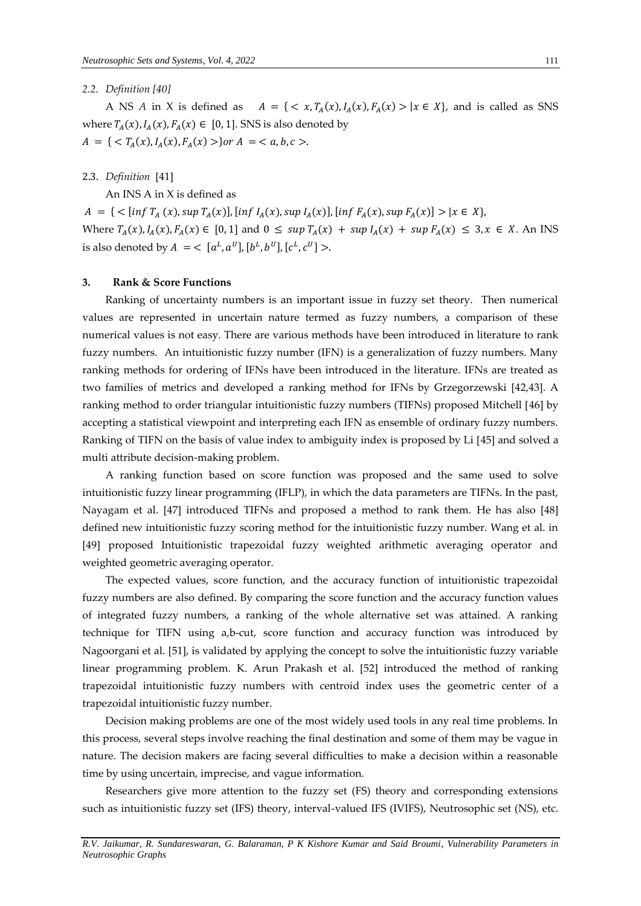## *2.2. Definition [40]*

A NS *A* in X is defined as  $A = \{ \langle x, T_A(x), I_A(x), F_A(x) \rangle | x \in X \}$ , and is called as SNS where  $T_A(x)$ ,  $I_A(x)$ ,  $F_A(x) \in [0, 1]$ . SNS is also denoted by  $A = \{ \langle T_A(x), I_A(x), F_A(x) \rangle \}$ or  $A = \langle a, b, c \rangle$ .

2.3. *Definition* [41]

An INS A in X is defined as

 $A = \{ \langle \sin f T_A(x), \sin T_A(x) \rangle, \sin f I_A(x), \sin T_A(x) \rangle, \sin f F_A(x), \sin T_A(x) \} \rangle | x \in X \},$ Where  $T_A(x)$ ,  $I_A(x)$ ,  $F_A(x) \in [0, 1]$  and  $0 \leq \sup T_A(x) + \sup I_A(x) + \sup F_A(x) \leq 3$ ,  $x \in X$ . An INS is also denoted by  $A \ = \ < \ [a^L, a^U], [b^L, b^U], [c^L, c^U] >$ .

## **3. Rank & Score Functions**

Ranking of uncertainty numbers is an important issue in fuzzy set theory. Then numerical values are represented in uncertain nature termed as fuzzy numbers, a comparison of these numerical values is not easy. There are various methods have been introduced in literature to rank fuzzy numbers. An intuitionistic fuzzy number (IFN) is a generalization of fuzzy numbers. Many ranking methods for ordering of IFNs have been introduced in the literature. IFNs are treated as two families of metrics and developed a ranking method for IFNs by Grzegorzewski [42,43]. A ranking method to order triangular intuitionistic fuzzy numbers (TIFNs) proposed Mitchell [46] by accepting a statistical viewpoint and interpreting each IFN as ensemble of ordinary fuzzy numbers. Ranking of TIFN on the basis of value index to ambiguity index is proposed by Li [45] and solved a multi attribute decision-making problem.

A ranking function based on score function was proposed and the same used to solve intuitionistic fuzzy linear programming (IFLP), in which the data parameters are TIFNs. In the past, Nayagam et al. [47] introduced TIFNs and proposed a method to rank them. He has also [48] defined new intuitionistic fuzzy scoring method for the intuitionistic fuzzy number. Wang et al. in [49] proposed Intuitionistic trapezoidal fuzzy weighted arithmetic averaging operator and weighted geometric averaging operator.

The expected values, score function, and the accuracy function of intuitionistic trapezoidal fuzzy numbers are also defined. By comparing the score function and the accuracy function values of integrated fuzzy numbers, a ranking of the whole alternative set was attained. A ranking technique for TIFN using a,b-cut, score function and accuracy function was introduced by Nagoorgani et al. [51], is validated by applying the concept to solve the intuitionistic fuzzy variable linear programming problem. K. Arun Prakash et al. [52] introduced the method of ranking trapezoidal intuitionistic fuzzy numbers with centroid index uses the geometric center of a trapezoidal intuitionistic fuzzy number.

Decision making problems are one of the most widely used tools in any real time problems. In this process, several steps involve reaching the final destination and some of them may be vague in nature. The decision makers are facing several difficulties to make a decision within a reasonable time by using uncertain, imprecise, and vague information.

Researchers give more attention to the fuzzy set (FS) theory and corresponding extensions such as intuitionistic fuzzy set (IFS) theory, interval-valued IFS (IVIFS), Neutrosophic set (NS), etc.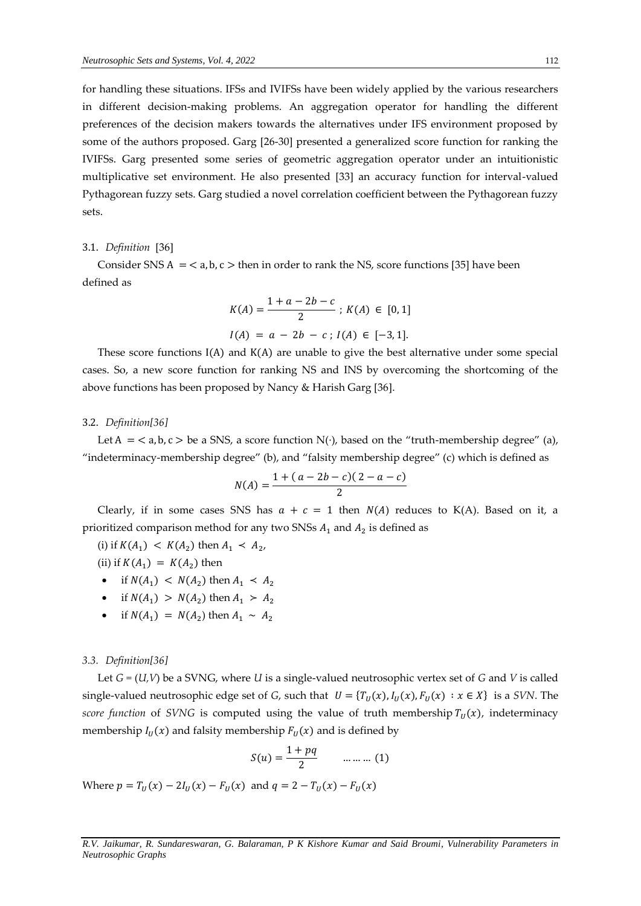for handling these situations. IFSs and IVIFSs have been widely applied by the various researchers in different decision-making problems. An aggregation operator for handling the different preferences of the decision makers towards the alternatives under IFS environment proposed by some of the authors proposed. Garg [26-30] presented a generalized score function for ranking the IVIFSs. Garg presented some series of geometric aggregation operator under an intuitionistic multiplicative set environment. He also presented [33] an accuracy function for interval-valued Pythagorean fuzzy sets. Garg studied a novel correlation coefficient between the Pythagorean fuzzy sets.

## 3.1. *Definition* [36]

Consider SNS  $A = < a, b, c >$  then in order to rank the NS, score functions [35] have been defined as

$$
K(A) = \frac{1 + a - 2b - c}{2} ; K(A) \in [0, 1]
$$
  

$$
I(A) = a - 2b - c ; I(A) \in [-3, 1].
$$

These score functions  $I(A)$  and  $K(A)$  are unable to give the best alternative under some special cases. So, a new score function for ranking NS and INS by overcoming the shortcoming of the above functions has been proposed by Nancy & Harish Garg [36].

#### 3.2. *Definition[36]*

Let  $A = \langle a, b, c \rangle$  be a SNS, a score function  $N(\cdot)$ , based on the "truth-membership degree" (a), "indeterminacy-membership degree" (b), and "falsity membership degree" (c) which is defined as

$$
N(A) = \frac{1 + (a - 2b - c)(2 - a - c)}{2}
$$

Clearly, if in some cases SNS has  $a + c = 1$  then  $N(A)$  reduces to K(A). Based on it, a prioritized comparison method for any two SNSs  $A_1$  and  $A_2$  is defined as

(i) if  $K(A_1) < K(A_2)$  then  $A_1 < A_2$ ,

(ii) if  $K(A_1) = K(A_2)$  then

- if  $N(A_1) < N(A_2)$  then  $A_1 < A_2$
- if  $N(A_1) > N(A_2)$  then  $A_1 > A_2$
- if  $N(A_1) = N(A_2)$  then  $A_1 \sim A_2$

#### *3.3. Definition[36]*

Let *G =* (*U,V*) be a SVNG, where *U* is a single-valued neutrosophic vertex set of *G* and *V* is called single-valued neutrosophic edge set of *G*, such that  $U = \{T_U(x), I_U(x), F_U(x) : x \in X\}$  is a *SVN*. The *score function* of *SVNG* is computed using the value of truth membership  $T_u(x)$ , indeterminacy membership  $I_U(x)$  and falsity membership  $F_U(x)$  and is defined by

$$
S(u) = \frac{1 + pq}{2} \qquad \qquad \dots \dots \dots \tag{1}
$$

Where  $p = T_{U}(x) - 2I_{U}(x) - F_{U}(x)$  and  $q = 2 - T_{U}(x) - F_{U}(x)$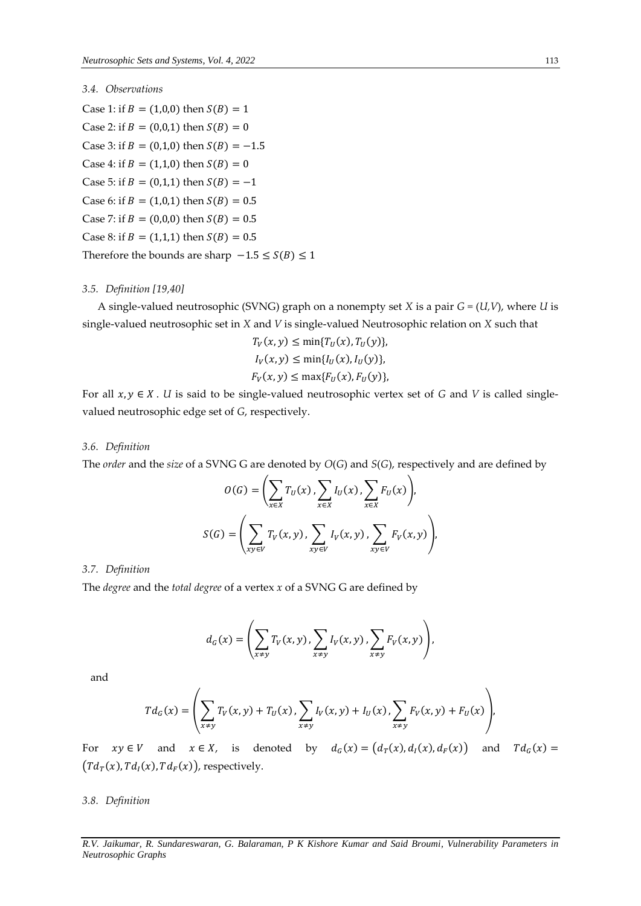## *3.4. Observations*

Case 1: if  $B = (1,0,0)$  then  $S(B) = 1$ Case 2: if  $B = (0,0,1)$  then  $S(B) = 0$ Case 3: if  $B = (0,1,0)$  then  $S(B) = -1.5$ Case 4: if  $B = (1,1,0)$  then  $S(B) = 0$ Case 5: if  $B = (0,1,1)$  then  $S(B) = -1$ Case 6: if  $B = (1,0,1)$  then  $S(B) = 0.5$ Case 7: if  $B = (0,0,0)$  then  $S(B) = 0.5$ Case 8: if  $B = (1,1,1)$  then  $S(B) = 0.5$ Therefore the bounds are sharp  $-1.5 \le S(B) \le 1$ 

#### *3.5. Definition [19,40]*

A single-valued neutrosophic (SVNG) graph on a nonempty set *X* is a pair *G =* (*U,V*), where *U* is single-valued neutrosophic set in *X* and *V* is single-valued Neutrosophic relation on *X* such that

$$
T_V(x, y) \le \min\{T_U(x), T_U(y)\},
$$
  
\n
$$
I_V(x, y) \le \min\{I_U(x), I_U(y)\},
$$
  
\n
$$
F_V(x, y) \le \max\{F_U(x), F_U(y)\},
$$

For all  $x, y \in X$ . *U* is said to be single-valued neutrosophic vertex set of *G* and *V* is called singlevalued neutrosophic edge set of *G*, respectively.

#### *3.6. Definition*

The *order* and the *size* of a SVNG G are denoted by *O*(*G*) and *S*(*G*), respectively and are defined by

$$
O(G) = \left(\sum_{x \in X} T_U(x), \sum_{x \in X} I_U(x), \sum_{x \in X} F_U(x)\right),
$$
  

$$
S(G) = \left(\sum_{x \in V} T_V(x, y), \sum_{x \in V} I_V(x, y), \sum_{x \in V} F_V(x, y)\right),
$$

#### *3.7. Definition*

The *degree* and the *total degree* of a vertex *x* of a SVNG G are defined by

$$
d_G(x) = \left(\sum_{x \neq y} T_V(x, y), \sum_{x \neq y} I_V(x, y), \sum_{x \neq y} F_V(x, y)\right),
$$

and

$$
Td_G(x) = \left(\sum_{x \neq y} T_V(x, y) + T_U(x), \sum_{x \neq y} I_V(x, y) + I_U(x), \sum_{x \neq y} F_V(x, y) + F_U(x)\right),
$$

For  $xy \in V$  and  $x \in X$ , is denoted by  $d_G(x) = (d_T(x), d_I(x), d_F(x))$  and  $Td_G(x) =$  $\bigl(Td_T(x),Td_I(x),Td_F(x)\bigr)$ , respectively.

#### *3.8. Definition*

*R.V. Jaikumar, R. Sundareswaran, G. Balaraman, P K Kishore Kumar and Said Broumi, Vulnerability Parameters in Neutrosophic Graphs*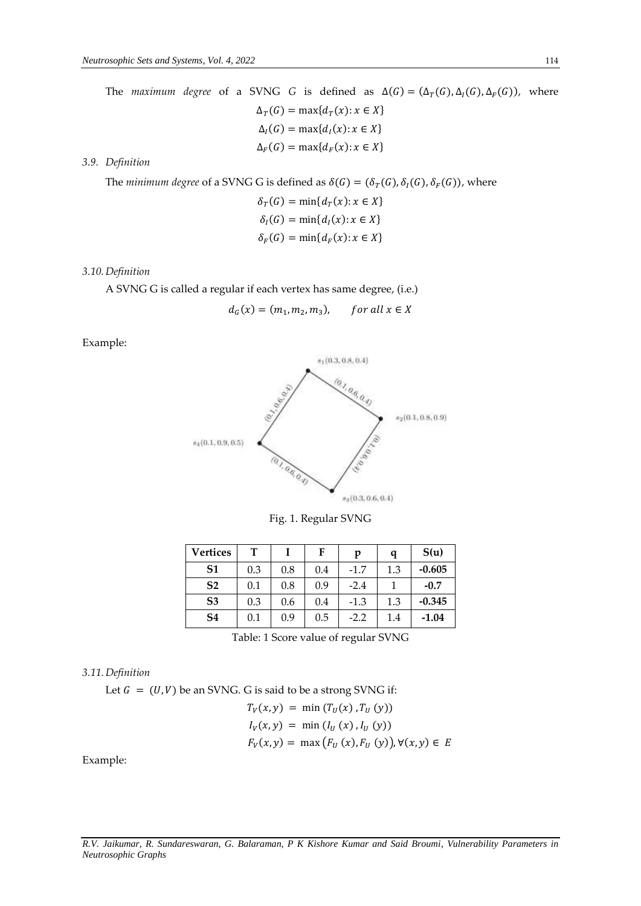The *maximum degree* of a SVNG *G* is defined as  $\Delta(G) = (\Delta_T(G), \Delta_I(G), \Delta_F(G))$ , where  $\Delta_T(G) = \max\{d_T(x): x \in X\}$  $\Delta_I(G) = \max\{d_I(x): x \in X\}$  $\Delta_F(G) = \max\{d_F(x): x \in X\}$ 

*3.9. Definition*

The *minimum degree* of a SVNG G is defined as  $\delta(G) = (\delta_T(G), \delta_I(G), \delta_F(G))$ , where

$$
\delta_T(G) = \min\{d_T(x): x \in X\}
$$
  

$$
\delta_I(G) = \min\{d_I(x): x \in X\}
$$
  

$$
\delta_F(G) = \min\{d_F(x): x \in X\}
$$

## *3.10.Definition*

A SVNG G is called a regular if each vertex has same degree, (i.e.)

$$
d_G(x) = (m_1, m_2, m_3), \qquad \text{for all } x \in X
$$

Example:



Fig. 1. Regular SVNG

| <b>Vertices</b> | т   |     | F   | p      | q   | S(u)     |
|-----------------|-----|-----|-----|--------|-----|----------|
| S <sub>1</sub>  | 0.3 | 0.8 | 0.4 | $-1.7$ | 1.3 | $-0.605$ |
| S <sub>2</sub>  | 0.1 | 0.8 | 0.9 | $-2.4$ |     | $-0.7$   |
| S <sub>3</sub>  | 0.3 | 0.6 | 0.4 | $-1.3$ | 1.3 | $-0.345$ |
| S4              | 0.1 | 0.9 | 0.5 | $-2.2$ | 1.4 | $-1.04$  |

Table: 1 Score value of regular SVNG

#### *3.11.Definition*

Let  $G = (U, V)$  be an SVNG. G is said to be a strong SVNG if:

$$
T_V(x, y) = \min (T_U(x), T_U(y))
$$
  
\n
$$
I_V(x, y) = \min (I_U(x), I_U(y))
$$
  
\n
$$
F_V(x, y) = \max (F_U(x), F_U(y)), \forall (x, y) \in E
$$

Example: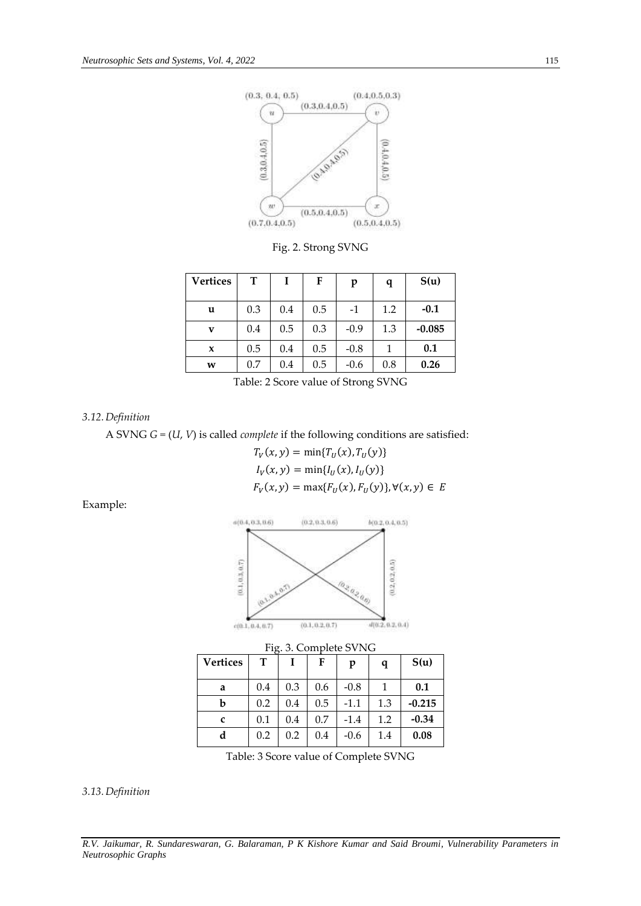

Fig. 2. Strong SVNG

| <b>Vertices</b> | т   | Ι   | F   | p      | q   | S(u)     |
|-----------------|-----|-----|-----|--------|-----|----------|
| u               | 0.3 | 0.4 | 0.5 | $-1$   | 1.2 | $-0.1$   |
| v               | 0.4 | 0.5 | 0.3 | $-0.9$ | 1.3 | $-0.085$ |
| $\mathbf x$     | 0.5 | 0.4 | 0.5 | $-0.8$ | 1   | 0.1      |
| W               | 0.7 | 0.4 | 0.5 | $-0.6$ | 0.8 | 0.26     |

Table: 2 Score value of Strong SVNG

*3.12.Definition*

A SVNG *G =* (*U*, *V*) is called *complete* if the following conditions are satisfied:

$$
T_V(x, y) = \min\{T_U(x), T_U(y)\}
$$
  
\n
$$
I_V(x, y) = \min\{I_U(x), I_U(y)\}
$$
  
\n
$$
F_V(x, y) = \max\{F_U(x), F_U(y)\}, \forall (x, y) \in E
$$

Example:



| <b>Vertices</b> | т   |     | F   | p      | q   | S(u)     |
|-----------------|-----|-----|-----|--------|-----|----------|
| a               | 0.4 | 0.3 | 0.6 | $-0.8$ | 1   | 0.1      |
| b               | 0.2 | 0.4 | 0.5 | $-1.1$ | 1.3 | $-0.215$ |
| c               | 0.1 | 0.4 | 0.7 | $-1.4$ | 1.2 | $-0.34$  |
| d               | 0.2 | 0.2 | 0.4 | $-0.6$ | 1.4 | 0.08     |

Table: 3 Score value of Complete SVNG

*3.13.Definition*

*R.V. Jaikumar, R. Sundareswaran, G. Balaraman, P K Kishore Kumar and Said Broumi, Vulnerability Parameters in Neutrosophic Graphs*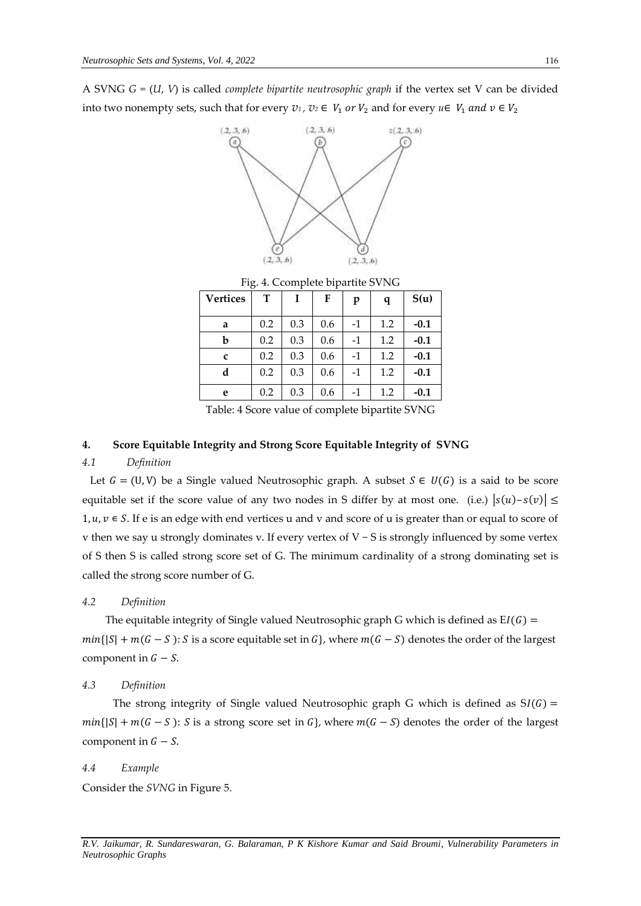A SVNG *G =* (*U*, *V*) is called *complete bipartite neutrosophic graph* if the vertex set V can be divided into two nonempty sets, such that for every  $v_1$ ,  $v_2 \in V_1$  or  $V_2$  and for every  $u \in V_1$  and  $v \in V_2$ 



Fig. 4. Ccomplete bipartite SVNG **Vertices T I F p q S(u) a**  $\begin{array}{|c|c|c|c|c|c|} \hline 0.2 & 0.3 & 0.6 & -1 & 1.2 & -0.1 \\ \hline \end{array}$ **b**  $\begin{bmatrix} 0.2 & 0.3 & 0.6 & -1 & 1.2 & -0.1 \end{bmatrix}$ **c** 0.2 0.3 0.6 -1 1.2 **-0.1 d**  $\begin{array}{|c|c|c|c|c|c|c|} \hline 0.2 & 0.3 & 0.6 & -1 & 1.2 & -0.1 \\ \hline \end{array}$ **e**  $\begin{array}{|c|c|c|c|c|c|} \hline 0.2 & 0.3 & 0.6 & -1 & 1.2 & -0.1 \\ \hline \end{array}$ 

Table: 4 Score value of complete bipartite SVNG

## **4. Score Equitable Integrity and Strong Score Equitable Integrity of SVNG**

## *4.1 Definition*

Let  $G = (U, V)$  be a Single valued Neutrosophic graph. A subset  $S \in U(G)$  is a said to be score equitable set if the score value of any two nodes in S differ by at most one. (i.e.)  $|s(u)-s(v)| \le$  $1, u, v \in S$ . If e is an edge with end vertices u and v and score of u is greater than or equal to score of v then we say u strongly dominates v. If every vertex of V − S is strongly influenced by some vertex of S then S is called strong score set of G. The minimum cardinality of a strong dominating set is called the strong score number of G.

## *4.2 Definition*

The equitable integrity of Single valued Neutrosophic graph G which is defined as  $EI(G)$  =  $min\{|S| + m(G - S): S \text{ is a score equal} \}$  where  $m(G - S)$  denotes the order of the largest component in  $G - S$ .

#### *4.3 Definition*

The strong integrity of Single valued Neutrosophic graph G which is defined as  $SI(G)$  =  $min\{|S| + m(G - S): S \text{ is a strong score set in } G\}$ , where  $m(G - S)$  denotes the order of the largest component in  $G - S$ .

#### *4.4 Example*

Consider the *SVNG* in Figure 5.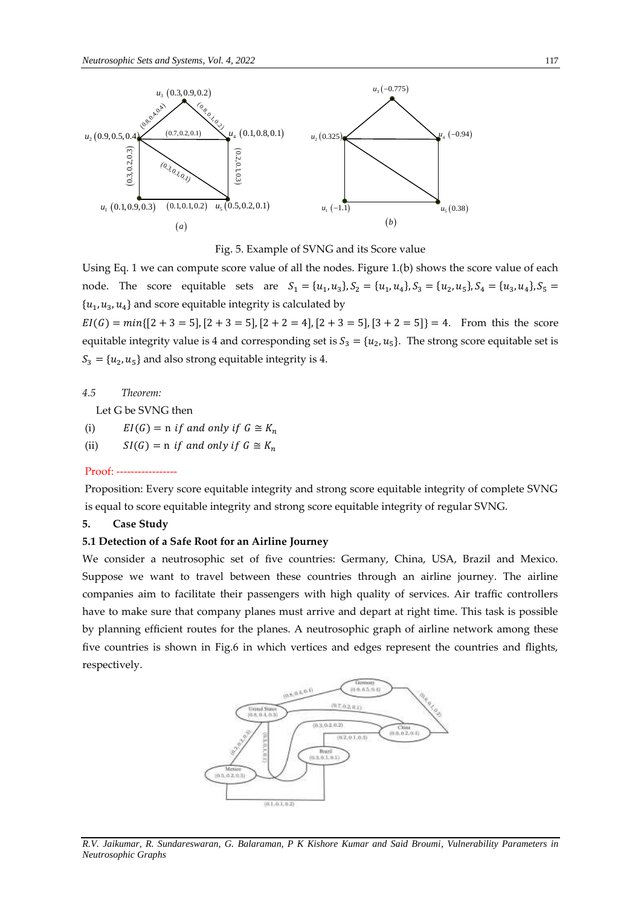

Fig. 5. Example of SVNG and its Score value

Using Eq. 1 we can compute score value of all the nodes. Figure 1.(b) shows the score value of each node. The score equitable sets are  $S_1 = \{u_1, u_3\}, S_2 = \{u_1, u_4\}, S_3 = \{u_2, u_5\}, S_4 = \{u_3, u_4\}, S_5 =$  $\{u_1, u_3, u_4\}$  and score equitable integrity is calculated by

 $EI(G) = min\{[2 + 3 = 5], [2 + 3 = 5], [2 + 2 = 4], [2 + 3 = 5], [3 + 2 = 5]\} = 4.$  From this the score equitable integrity value is 4 and corresponding set is  $S_3 = \{u_2, u_5\}$ . The strong score equitable set is  $S_3 = \{u_2, u_5\}$  and also strong equitable integrity is 4.

#### *4.5 Theorem:*

Let G be SVNG then

- (i)  $EI(G) = n$  if and only if  $G \cong K_n$
- (ii)  $SI(G) = n$  if and only if  $G \cong K_n$

#### $Proof: -$

Proposition: Every score equitable integrity and strong score equitable integrity of complete SVNG is equal to score equitable integrity and strong score equitable integrity of regular SVNG.

## **5. Case Study**

## **5.1 Detection of a Safe Root for an Airline Journey**

We consider a neutrosophic set of five countries: Germany, China, USA, Brazil and Mexico. Suppose we want to travel between these countries through an airline journey. The airline companies aim to facilitate their passengers with high quality of services. Air traffic controllers have to make sure that company planes must arrive and depart at right time. This task is possible by planning efficient routes for the planes. A neutrosophic graph of airline network among these five countries is shown in Fig.6 in which vertices and edges represent the countries and flights, respectively.



*R.V. Jaikumar, R. Sundareswaran, G. Balaraman, P K Kishore Kumar and Said Broumi, Vulnerability Parameters in Neutrosophic Graphs*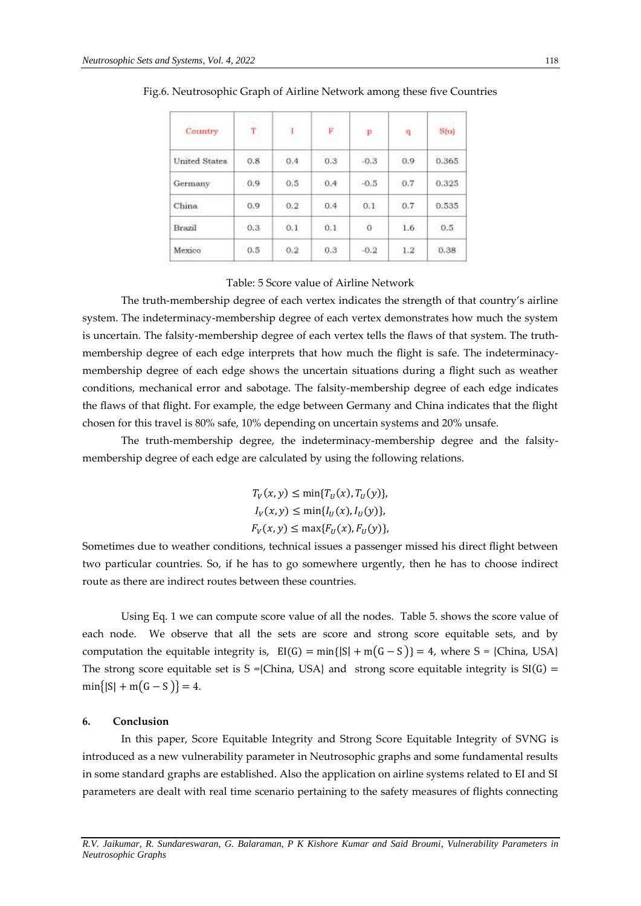| Country              | $\dot{T}$ | $\mathbf{I}$ | <b>DOM</b><br>Ë | P      | -9            | S(u)  |
|----------------------|-----------|--------------|-----------------|--------|---------------|-------|
| <b>United States</b> | 0.8       | 0.4          | 0.3             | $-0.3$ | 0.9           | 0.365 |
| Germany              | 0.9       | 0.5          | 0.4             | $-0.5$ | 0.7           | 0.325 |
| China                | 0.9       | 0.2          | 0.4             | 0.1    | 0.7           | 0.535 |
| Brazil               | 0.3       | 0.1          | 0.1             | $\,$ 0 | 1.6           | 0.5   |
| Mexico               | 0.5       | 0.2          | 0.3             | $-0.2$ | $1.2^{\circ}$ | 0.38  |

Fig.6. Neutrosophic Graph of Airline Network among these five Countries

## Table: 5 Score value of Airline Network

The truth-membership degree of each vertex indicates the strength of that country's airline system. The indeterminacy-membership degree of each vertex demonstrates how much the system is uncertain. The falsity-membership degree of each vertex tells the flaws of that system. The truthmembership degree of each edge interprets that how much the flight is safe. The indeterminacymembership degree of each edge shows the uncertain situations during a flight such as weather conditions, mechanical error and sabotage. The falsity-membership degree of each edge indicates the flaws of that flight. For example, the edge between Germany and China indicates that the flight chosen for this travel is 80% safe, 10% depending on uncertain systems and 20% unsafe.

The truth-membership degree, the indeterminacy-membership degree and the falsitymembership degree of each edge are calculated by using the following relations.

> $T_V(x, y) \le \min\{T_U(x), T_U(y)\},$  $I_V(x, y) \le \min\{I_U(x), I_U(y)\},\$  $F_V(x, y) \le \max\{F_U(x), F_U(y)\},$

Sometimes due to weather conditions, technical issues a passenger missed his direct flight between two particular countries. So, if he has to go somewhere urgently, then he has to choose indirect route as there are indirect routes between these countries.

Using Eq. 1 we can compute score value of all the nodes. Table 5. shows the score value of each node. We observe that all the sets are score and strong score equitable sets, and by computation the equitable integrity is,  $E[(G) = min\{|S| + m(G - S)\} = 4$ , where S = {China, USA} The strong score equitable set is  $S = \{China, USA\}$  and strong score equitable integrity is  $SI(G) =$  $min\{|S| + m(G - S)\} = 4.$ 

#### **6. Conclusion**

In this paper, Score Equitable Integrity and Strong Score Equitable Integrity of SVNG is introduced as a new vulnerability parameter in Neutrosophic graphs and some fundamental results in some standard graphs are established. Also the application on airline systems related to EI and SI parameters are dealt with real time scenario pertaining to the safety measures of flights connecting

*R.V. Jaikumar, R. Sundareswaran, G. Balaraman, P K Kishore Kumar and Said Broumi, Vulnerability Parameters in Neutrosophic Graphs*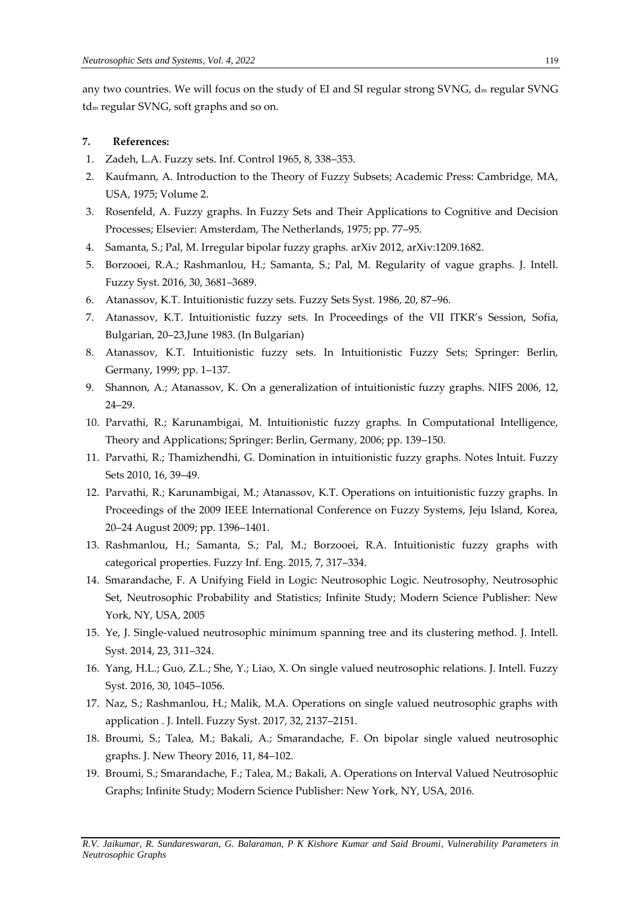any two countries. We will focus on the study of EI and SI regular strong SVNG,  $d_m$  regular SVNG td<sup>m</sup> regular SVNG, soft graphs and so on.

## **7. References:**

- 1. Zadeh, L.A. Fuzzy sets. Inf. Control 1965, 8, 338–353.
- 2. Kaufmann, A. Introduction to the Theory of Fuzzy Subsets; Academic Press: Cambridge, MA, USA, 1975; Volume 2.
- 3. Rosenfeld, A. Fuzzy graphs. In Fuzzy Sets and Their Applications to Cognitive and Decision Processes; Elsevier: Amsterdam, The Netherlands, 1975; pp. 77–95.
- 4. Samanta, S.; Pal, M. Irregular bipolar fuzzy graphs. arXiv 2012, arXiv:1209.1682.
- 5. Borzooei, R.A.; Rashmanlou, H.; Samanta, S.; Pal, M. Regularity of vague graphs. J. Intell. Fuzzy Syst. 2016, 30, 3681–3689.
- 6. Atanassov, K.T. Intuitionistic fuzzy sets. Fuzzy Sets Syst. 1986, 20, 87–96.
- 7. Atanassov, K.T. Intuitionistic fuzzy sets. In Proceedings of the VII ITKR's Session, Sofia, Bulgarian, 20–23,June 1983. (In Bulgarian)
- 8. Atanassov, K.T. Intuitionistic fuzzy sets. In Intuitionistic Fuzzy Sets; Springer: Berlin, Germany, 1999; pp. 1–137.
- 9. Shannon, A.; Atanassov, K. On a generalization of intuitionistic fuzzy graphs. NIFS 2006, 12, 24–29.
- 10. Parvathi, R.; Karunambigai, M. Intuitionistic fuzzy graphs. In Computational Intelligence, Theory and Applications; Springer: Berlin, Germany, 2006; pp. 139–150.
- 11. Parvathi, R.; Thamizhendhi, G. Domination in intuitionistic fuzzy graphs. Notes Intuit. Fuzzy Sets 2010, 16, 39–49.
- 12. Parvathi, R.; Karunambigai, M.; Atanassov, K.T. Operations on intuitionistic fuzzy graphs. In Proceedings of the 2009 IEEE International Conference on Fuzzy Systems, Jeju Island, Korea, 20–24 August 2009; pp. 1396–1401.
- 13. Rashmanlou, H.; Samanta, S.; Pal, M.; Borzooei, R.A. Intuitionistic fuzzy graphs with categorical properties. Fuzzy Inf. Eng. 2015, 7, 317–334.
- 14. Smarandache, F. A Unifying Field in Logic: Neutrosophic Logic. Neutrosophy, Neutrosophic Set, Neutrosophic Probability and Statistics; Infinite Study; Modern Science Publisher: New York, NY, USA, 2005
- 15. Ye, J. Single-valued neutrosophic minimum spanning tree and its clustering method. J. Intell. Syst. 2014, 23, 311–324.
- 16. Yang, H.L.; Guo, Z.L.; She, Y.; Liao, X. On single valued neutrosophic relations. J. Intell. Fuzzy Syst. 2016, 30, 1045–1056.
- 17. Naz, S.; Rashmanlou, H.; Malik, M.A. Operations on single valued neutrosophic graphs with application . J. Intell. Fuzzy Syst. 2017, 32, 2137–2151.
- 18. Broumi, S.; Talea, M.; Bakali, A.; Smarandache, F. On bipolar single valued neutrosophic graphs. J. New Theory 2016, 11, 84–102.
- 19. Broumi, S.; Smarandache, F.; Talea, M.; Bakali, A. Operations on Interval Valued Neutrosophic Graphs; Infinite Study; Modern Science Publisher: New York, NY, USA, 2016.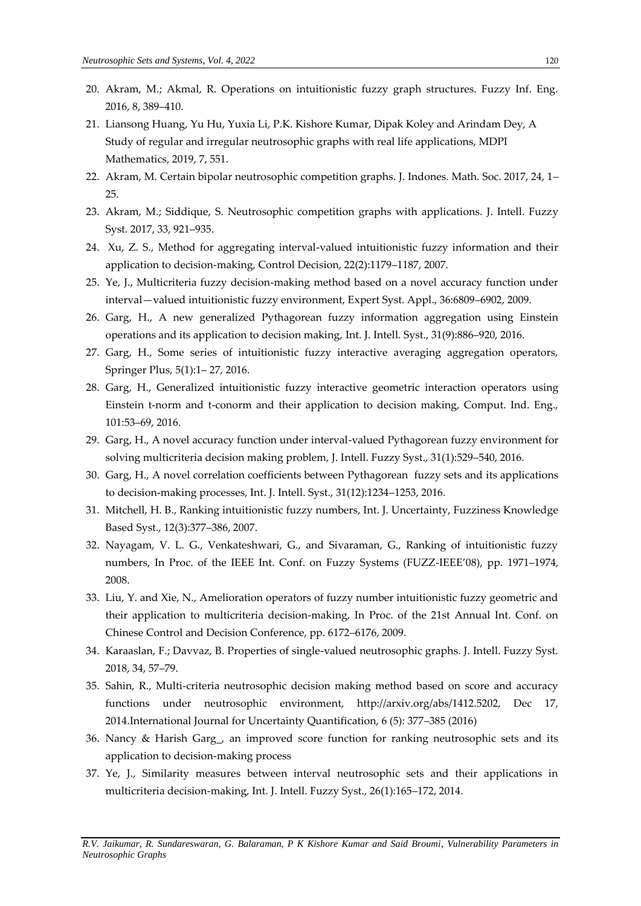- 20. Akram, M.; Akmal, R. Operations on intuitionistic fuzzy graph structures. Fuzzy Inf. Eng. 2016, 8, 389–410.
- 21. Liansong Huang, Yu Hu, Yuxia Li, P.K. Kishore Kumar, Dipak Koley and Arindam Dey, A Study of regular and irregular neutrosophic graphs with real life applications, MDPI Mathematics, 2019, 7, 551.
- 22. Akram, M. Certain bipolar neutrosophic competition graphs. J. Indones. Math. Soc. 2017, 24, 1– 25.
- 23. Akram, M.; Siddique, S. Neutrosophic competition graphs with applications. J. Intell. Fuzzy Syst. 2017, 33, 921–935.
- 24. Xu, Z. S., Method for aggregating interval-valued intuitionistic fuzzy information and their application to decision-making, Control Decision, 22(2):1179–1187, 2007.
- 25. Ye, J., Multicriteria fuzzy decision-making method based on a novel accuracy function under interval—valued intuitionistic fuzzy environment, Expert Syst. Appl., 36:6809–6902, 2009.
- 26. Garg, H., A new generalized Pythagorean fuzzy information aggregation using Einstein operations and its application to decision making, Int. J. Intell. Syst., 31(9):886–920, 2016.
- 27. Garg, H., Some series of intuitionistic fuzzy interactive averaging aggregation operators, Springer Plus, 5(1):1– 27, 2016.
- 28. Garg, H., Generalized intuitionistic fuzzy interactive geometric interaction operators using Einstein t-norm and t-conorm and their application to decision making, Comput. Ind. Eng., 101:53–69, 2016.
- 29. Garg, H., A novel accuracy function under interval-valued Pythagorean fuzzy environment for solving multicriteria decision making problem, J. Intell. Fuzzy Syst., 31(1):529–540, 2016.
- 30. Garg, H., A novel correlation coefficients between Pythagorean fuzzy sets and its applications to decision-making processes, Int. J. Intell. Syst., 31(12):1234–1253, 2016.
- 31. Mitchell, H. B., Ranking intuitionistic fuzzy numbers, Int. J. Uncertainty, Fuzziness Knowledge Based Syst., 12(3):377–386, 2007.
- 32. Nayagam, V. L. G., Venkateshwari, G., and Sivaraman, G., Ranking of intuitionistic fuzzy numbers, In Proc. of the IEEE Int. Conf. on Fuzzy Systems (FUZZ-IEEE'08), pp. 1971–1974, 2008.
- 33. Liu, Y. and Xie, N., Amelioration operators of fuzzy number intuitionistic fuzzy geometric and their application to multicriteria decision-making, In Proc. of the 21st Annual Int. Conf. on Chinese Control and Decision Conference, pp. 6172–6176, 2009.
- 34. Karaaslan, F.; Davvaz, B. Properties of single-valued neutrosophic graphs. J. Intell. Fuzzy Syst. 2018, 34, 57–79.
- 35. Sahin, R., Multi-criteria neutrosophic decision making method based on score and accuracy functions under neutrosophic environment, http://arxiv.org/abs/1412.5202, Dec 17, 2014.International Journal for Uncertainty Quantification, 6 (5): 377–385 (2016)
- 36. Nancy & Harish Garg\_, an improved score function for ranking neutrosophic sets and its application to decision-making process
- 37. Ye, J., Similarity measures between interval neutrosophic sets and their applications in multicriteria decision-making, Int. J. Intell. Fuzzy Syst., 26(1):165–172, 2014.